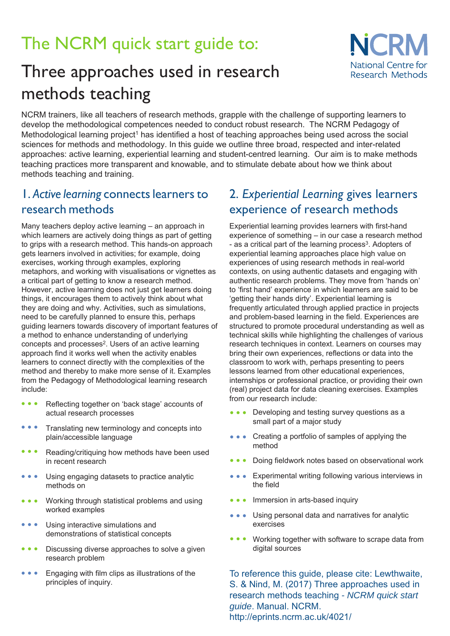# The NCRM quick start guide to:

## Three approaches used in research methods teaching



NCRM trainers, like all teachers of research methods, grapple with the challenge of supporting learners to develop the methodological competences needed to conduct robust research. The NCRM Pedagogy of Methodological learning project<sup>1</sup> has identified a host of teaching approaches being used across the social sciences for methods and methodology. In this guide we outline three broad, respected and inter-related approaches: active learning, experiential learning and student-centred learning. Our aim is to make methods teaching practices more transparent and knowable, and to stimulate debate about how we think about methods teaching and training

#### 1. Active learning connects learners to research methods

Many teachers deploy active learning  $-$  an approach in which learners are actively doing things as part of getting to grips with a research method. This hands-on approach gets learners involved in activities; for example, doing exercises, working through examples, exploring metaphors, and working with visualisations or vignettes as a critical part of getting to know a research method However, active learning does not just get learners doing things it encourages them to actively think about what they are doing and why. Activities, such as simulations, need to be carefully planned to ensure this, perhaps guiding learners towards discovery of important features of a method to enhance understanding of underlying concepts and processes<sup>2</sup>. Users of an active learning approach find it works well when the activity enables learners to connect directly with the complexities of the method and thereby to make more sense of it. Examples from the Pedagogy of Methodological learning research include:

- from our research include: 5eflecting together on 'back stage' accounts of  $\bullet$   $\bullet$   $\bullet$ actual research processes
- $\bullet\hspace{0.1cm} \bullet\hspace{0.1cm} \bullet\hspace{0.1cm} \bullet$ 7ranslating new terminology and concepts into plain/accessible language
- $\bullet\hspace{0.1cm} \bullet\hspace{0.1cm} \bullet\hspace{0.1cm} \bullet$ Reading/critiquing how methods have been used in recent research
- Using engaging datasets to practice analytic  $\bullet\bullet\bullet\bullet$ methods on
- Working through statistical problems and using  $\bullet$   $\bullet$   $\bullet$ worked examples
- $\bullet\bullet\bullet$ Using interactive simulations and demonstrations of statistical concepts
- $\bullet\bullet\bullet\quad$ Discussing diverse approaches to solve a given research problem
- $\bullet\bullet\bullet$ Engaging with film clips as illustrations of the principles of inquiry.

### 2. Experiential Learning gives learners experience of research methods

Experiential learning provides learners with first-hand experience of something  $-$  in our case a research method - as a critical part of the learning process<sup>3</sup>. Adopters of experiential learning approaches place high value on experiences of using research methods in real-world contexts on using authentic datasets and engaging with authentic research problems. They move from 'hands on' to 'first hand' experience in which learners are said to be 'getting their hands dirty'. Experiential learning is frequently articulated through applied practice in projects and problem-based learning in the field. Experiences are structured to promote procedural understanding as well as technical skills while highlighting the challenges of various research techniques in context. Learners on courses may bring their own experiences reflections or data into the classroom to work with, perhaps presenting to peers lessons learned from other educational experiences internships or professional practice, or providing their own (real) project data for data cleaning exercises. Examples

- • Developing and testing survey questions as a small part of a major study
- • Creating a portfolio of samples of applying the method
- • Doing fieldwork notes based on observational work
- • Experimental writing following various interviews in the field
- • Immersion in arts-based inquiry
- • Using personal data and narratives for analytic exercises
- • Working together with software to scrape data from digital sources

To reference this guide, please cite: Lewthwaite, S. & Nind, M. (2017) Three approaches used in research methods teaching *- NCRM quick start guide*. Manual. NCRM. http://eprints.ncrm.ac.uk/4021/